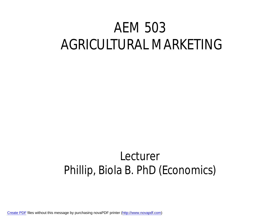### AEM 503 AGRICULTURAL MARKETING

### Lecturer Phillip, Biola B. PhD (Economics)

[Create PDF](http://www.novapdf.com) files without this message by purchasing novaPDF printer ([http://www.novapdf.com\)](http://www.novapdf.com)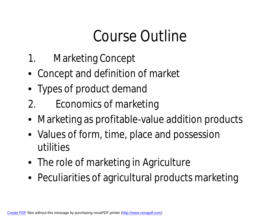## Course Outline

- 1. Marketing Concept
- Concept and definition of market
- Types of product demand
- 2. Economics of marketing
- Marketing as profitable-value addition products
- Values of form, time, place and possession utilities
- The role of marketing in Agriculture
- Peculiarities of agricultural products marketing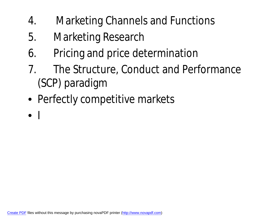- 4. Marketing Channels and Functions
- 5. Marketing Research
- 6. Pricing and price determination
- 7. The Structure, Conduct and Performance (SCP) paradigm
- Perfectly competitive markets
- $\bullet$  I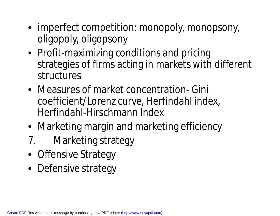- imperfect competition: monopoly, monopsony, oligopoly, oligopsony
- Profit-maximizing conditions and pricing strategies of firms acting in markets with different structures
- Measures of market concentration- Gini coefficient/Lorenz curve, Herfindahl index, Herfindahl-Hirschmann Index
- Marketing margin and marketing efficiency
- 7. Marketing strategy
- Offensive Strategy
- Defensive strategy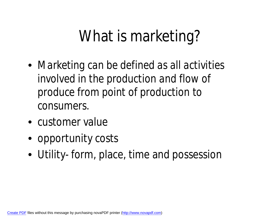### What is marketing?

- *Marketing can be defined as all activities involved in the production and flow of produce from point of production to consumers*.
- customer value
- opportunity costs
- Utility- form, place, time and possession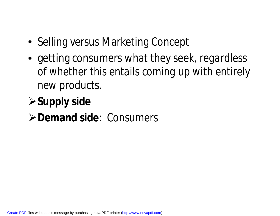- Selling versus Marketing Concept
- getting consumers what they seek, *regardless of whether this entails coming up with entirely new products.*

### **≻Supply side**

### **Demand side**: Consumers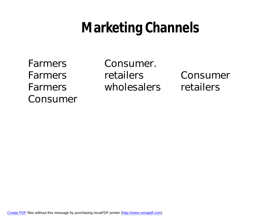### **Marketing Channels**

Consumer

Farmers Consumer. Farmers retailers Consumer Farmers wholesalers retailers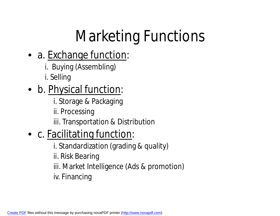# Marketing Functions

#### • a. Exchange function:

- i. Buying (Assembling)
- i. Selling

### • b. Physical function:

- i. Storage & Packaging
- ii. Processing

iii. Transportation & Distribution

### • c. Facilitating function:

i. Standardization (grading & quality)

ii. Risk Bearing

- iii. Market Intelligence (Ads & promotion)
- iv. Financing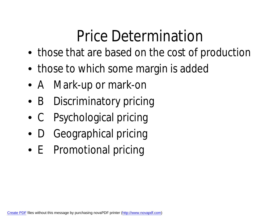# Price Determination

- those that are based on the cost of production
- those to which some margin is added
- A Mark-up or mark-on
- B Discriminatory pricing
- C Psychological pricing
- D Geographical pricing
- E Promotional pricing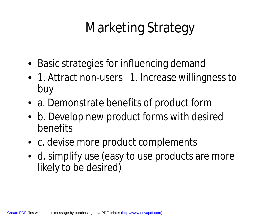## Marketing Strategy

- Basic strategies for influencing demand
- 1. Attract non-users 1. Increase willingness to buy
- a. Demonstrate benefits of product form
- b. Develop new product forms with desired benefits
- c. devise more product complements
- d. simplify use (easy to use products are more likely to be desired)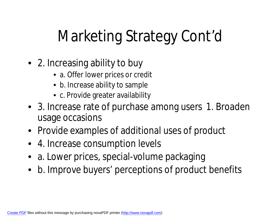# Marketing Strategy Cont'd

- 2. Increasing ability to buy
	- a. Offer lower prices or credit
	- b. Increase ability to sample
	- c. Provide greater availability
- 3. Increase rate of purchase among users 1. Broaden usage occasions
- Provide examples of additional uses of product
- 4. Increase consumption levels
- a. Lower prices, special-volume packaging
- b. Improve buyers' perceptions of product benefits